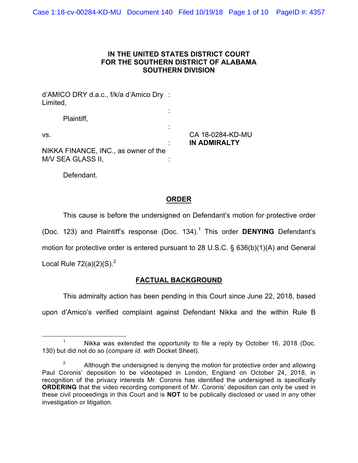#### **IN THE UNITED STATES DISTRICT COURT FOR THE SOUTHERN DISTRICT OF ALABAMA SOUTHERN DIVISION**

d'AMICO DRY d.a.c., f/k/a d'Amico Dry : Limited, : Plaintiff, : vs. CA 18-0284-KD-MU : **IN ADMIRALTY** NIKKA FINANCE, INC., as owner of the M/V SEA GLASS II,

Defendant.

# **ORDER**

This cause is before the undersigned on Defendant's motion for protective order (Doc. 123) and Plaintiff's response (Doc. 134). <sup>1</sup> This order **DENYING** Defendant's motion for protective order is entered pursuant to 28 U.S.C. § 636(b)(1)(A) and General Local Rule  $72(a)(2)(S)^2$ 

### **FACTUAL BACKGROUND**

This admiralty action has been pending in this Court since June 22, 2018, based upon d'Amico's verified complaint against Defendant Nikka and the within Rule B

<sup>&</sup>lt;sup>1</sup> Nikka was extended the opportunity to file a reply by October 16, 2018 (Doc. 130) but did not do so (*compare id. with* Docket Sheet).

<sup>&</sup>lt;sup>2</sup> Although the undersigned is denying the motion for protective order and allowing Paul Coronis' deposition to be videotaped in London, England on October 24, 2018, in recognition of the privacy interests Mr. Coronis has identified the undersigned is specifically **ORDERING** that the video recording component of Mr. Coronis' deposition can only be used in these civil proceedings in this Court and is **NOT** to be publically disclosed or used in any other investigation or litigation.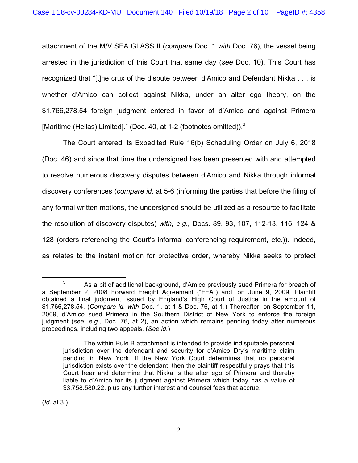attachment of the M/V SEA GLASS II (*compare* Doc. 1 *with* Doc. 76), the vessel being arrested in the jurisdiction of this Court that same day (*see* Doc. 10). This Court has recognized that "[t]he crux of the dispute between d'Amico and Defendant Nikka . . . is whether d'Amico can collect against Nikka, under an alter ego theory, on the \$1,766,278.54 foreign judgment entered in favor of d'Amico and against Primera [Maritime (Hellas) Limited]." (Doc. 40, at 1-2 (footnotes omitted)).<sup>3</sup>

The Court entered its Expedited Rule 16(b) Scheduling Order on July 6, 2018 (Doc. 46) and since that time the undersigned has been presented with and attempted to resolve numerous discovery disputes between d'Amico and Nikka through informal discovery conferences (*compare id.* at 5-6 (informing the parties that before the filing of any formal written motions, the undersigned should be utilized as a resource to facilitate the resolution of discovery disputes) *with, e.g.,* Docs. 89, 93, 107, 112-13, 116, 124 & 128 (orders referencing the Court's informal conferencing requirement, etc.)). Indeed, as relates to the instant motion for protective order, whereby Nikka seeks to protect

(*Id.* at 3.)

 $3$  As a bit of additional background, d'Amico previously sued Primera for breach of a September 2, 2008 Forward Freight Agreement ("FFA") and, on June 9, 2009, Plaintiff obtained a final judgment issued by England's High Court of Justice in the amount of \$1,766,278.54. (*Compare id. with* Doc. 1, at 1 & Doc. 76, at 1.) Thereafter, on September 11, 2009, d'Amico sued Primera in the Southern District of New York to enforce the foreign judgment (*see, e.g.,* Doc. 76, at 2), an action which remains pending today after numerous proceedings, including two appeals. (*See id.*)

The within Rule B attachment is intended to provide indisputable personal jurisdiction over the defendant and security for d'Amico Dry's maritime claim pending in New York. If the New York Court determines that no personal jurisdiction exists over the defendant, then the plaintiff respectfully prays that this Court hear and determine that Nikka is the alter ego of Primera and thereby liable to d'Amico for its judgment against Primera which today has a value of \$3,758.580.22, plus any further interest and counsel fees that accrue.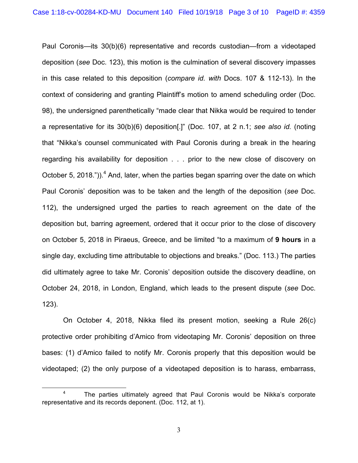Paul Coronis—its 30(b)(6) representative and records custodian—from a videotaped deposition (*see* Doc. 123), this motion is the culmination of several discovery impasses in this case related to this deposition (*compare id. with* Docs. 107 & 112-13). In the context of considering and granting Plaintiff's motion to amend scheduling order (Doc. 98), the undersigned parenthetically "made clear that Nikka would be required to tender a representative for its 30(b)(6) deposition[.]" (Doc. 107, at 2 n.1; *see also id.* (noting that "Nikka's counsel communicated with Paul Coronis during a break in the hearing regarding his availability for deposition . . . prior to the new close of discovery on October 5, 2018.")).<sup>4</sup> And, later, when the parties began sparring over the date on which Paul Coronis' deposition was to be taken and the length of the deposition (*see* Doc. 112), the undersigned urged the parties to reach agreement on the date of the deposition but, barring agreement, ordered that it occur prior to the close of discovery on October 5, 2018 in Piraeus, Greece, and be limited "to a maximum of **9 hours** in a single day, excluding time attributable to objections and breaks." (Doc. 113.) The parties did ultimately agree to take Mr. Coronis' deposition outside the discovery deadline, on October 24, 2018, in London, England, which leads to the present dispute (*see* Doc. 123).

On October 4, 2018, Nikka filed its present motion, seeking a Rule 26(c) protective order prohibiting d'Amico from videotaping Mr. Coronis' deposition on three bases: (1) d'Amico failed to notify Mr. Coronis properly that this deposition would be videotaped; (2) the only purpose of a videotaped deposition is to harass, embarrass,

<sup>&</sup>lt;sup>4</sup> The parties ultimately agreed that Paul Coronis would be Nikka's corporate representative and its records deponent. (Doc. 112, at 1).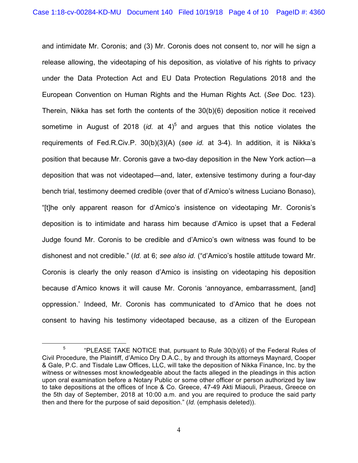and intimidate Mr. Coronis; and (3) Mr. Coronis does not consent to, nor will he sign a release allowing, the videotaping of his deposition, as violative of his rights to privacy under the Data Protection Act and EU Data Protection Regulations 2018 and the European Convention on Human Rights and the Human Rights Act. (*See* Doc. 123). Therein, Nikka has set forth the contents of the 30(b)(6) deposition notice it received sometime in August of 2018 (*id.* at 4)<sup>5</sup> and argues that this notice violates the requirements of Fed.R.Civ.P. 30(b)(3)(A) (*see id.* at 3-4). In addition, it is Nikka's position that because Mr. Coronis gave a two-day deposition in the New York action—a deposition that was not videotaped—and, later, extensive testimony during a four-day bench trial, testimony deemed credible (over that of d'Amico's witness Luciano Bonaso), "[t]he only apparent reason for d'Amico's insistence on videotaping Mr. Coronis's deposition is to intimidate and harass him because d'Amico is upset that a Federal Judge found Mr. Coronis to be credible and d'Amico's own witness was found to be dishonest and not credible." (*Id.* at 6; *see also id.* ("d'Amico's hostile attitude toward Mr. Coronis is clearly the only reason d'Amico is insisting on videotaping his deposition because d'Amico knows it will cause Mr. Coronis 'annoyance, embarrassment, [and] oppression.' Indeed, Mr. Coronis has communicated to d'Amico that he does not consent to having his testimony videotaped because, as a citizen of the European

<sup>&</sup>lt;sup>5</sup> "PLEASE TAKE NOTICE that, pursuant to Rule  $30(b)(6)$  of the Federal Rules of Civil Procedure, the Plaintiff, d'Amico Dry D.A.C., by and through its attorneys Maynard, Cooper & Gale, P.C. and Tisdale Law Offices, LLC, will take the deposition of Nikka Finance, Inc. by the witness or witnesses most knowledgeable about the facts alleged in the pleadings in this action upon oral examination before a Notary Public or some other officer or person authorized by law to take depositions at the offices of Ince & Co. Greece, 47-49 Akti Miaouli, Piraeus, Greece on the 5th day of September, 2018 at 10:00 a.m. and you are required to produce the said party then and there for the purpose of said deposition." (*Id.* (emphasis deleted)).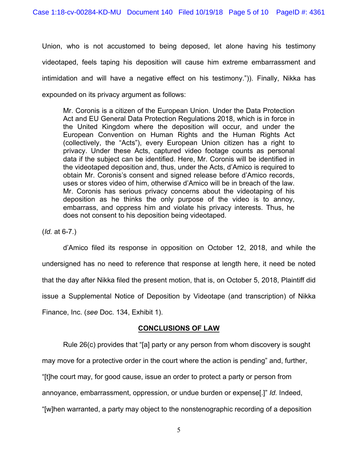Union, who is not accustomed to being deposed, let alone having his testimony videotaped, feels taping his deposition will cause him extreme embarrassment and intimidation and will have a negative effect on his testimony.")). Finally, Nikka has expounded on its privacy argument as follows:

Mr. Coronis is a citizen of the European Union. Under the Data Protection Act and EU General Data Protection Regulations 2018, which is in force in the United Kingdom where the deposition will occur, and under the European Convention on Human Rights and the Human Rights Act (collectively, the "Acts"), every European Union citizen has a right to privacy. Under these Acts, captured video footage counts as personal data if the subject can be identified. Here, Mr. Coronis will be identified in the videotaped deposition and, thus, under the Acts, d'Amico is required to obtain Mr. Coronis's consent and signed release before d'Amico records, uses or stores video of him, otherwise d'Amico will be in breach of the law. Mr. Coronis has serious privacy concerns about the videotaping of his deposition as he thinks the only purpose of the video is to annoy, embarrass, and oppress him and violate his privacy interests. Thus, he does not consent to his deposition being videotaped.

(*Id.* at 6-7.)

d'Amico filed its response in opposition on October 12, 2018, and while the undersigned has no need to reference that response at length here, it need be noted that the day after Nikka filed the present motion, that is, on October 5, 2018, Plaintiff did issue a Supplemental Notice of Deposition by Videotape (and transcription) of Nikka Finance, Inc. (*see* Doc. 134, Exhibit 1).

### **CONCLUSIONS OF LAW**

Rule 26(c) provides that "[a] party or any person from whom discovery is sought may move for a protective order in the court where the action is pending" and, further, "[t]he court may, for good cause, issue an order to protect a party or person from annoyance, embarrassment, oppression, or undue burden or expense[.]" *Id.* Indeed, "[w]hen warranted, a party may object to the nonstenographic recording of a deposition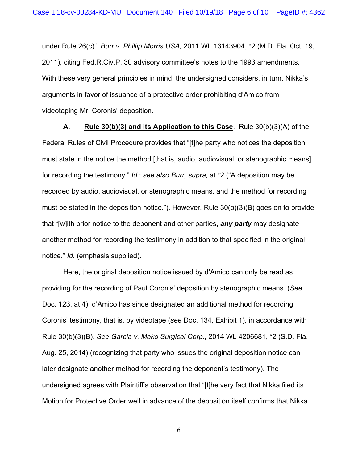under Rule 26(c)." *Burr v. Phillip Morris USA,* 2011 WL 13143904, \*2 (M.D. Fla. Oct. 19, 2011), citing Fed.R.Civ.P. 30 advisory committee's notes to the 1993 amendments. With these very general principles in mind, the undersigned considers, in turn, Nikka's arguments in favor of issuance of a protective order prohibiting d'Amico from videotaping Mr. Coronis' deposition.

**A. Rule 30(b)(3) and its Application to this Case**. Rule 30(b)(3)(A) of the Federal Rules of Civil Procedure provides that "[t]he party who notices the deposition must state in the notice the method [that is, audio, audiovisual, or stenographic means] for recording the testimony." *Id.*; *see also Burr, supra,* at \*2 ("A deposition may be recorded by audio, audiovisual, or stenographic means, and the method for recording must be stated in the deposition notice."). However, Rule 30(b)(3)(B) goes on to provide that "[w]ith prior notice to the deponent and other parties, *any party* may designate another method for recording the testimony in addition to that specified in the original notice." *Id.* (emphasis supplied).

Here, the original deposition notice issued by d'Amico can only be read as providing for the recording of Paul Coronis' deposition by stenographic means. (*See*  Doc. 123, at 4). d'Amico has since designated an additional method for recording Coronis' testimony, that is, by videotape (*see* Doc. 134, Exhibit 1), in accordance with Rule 30(b)(3)(B). *See Garcia v. Mako Surgical Corp.,* 2014 WL 4206681, \*2 (S.D. Fla. Aug. 25, 2014) (recognizing that party who issues the original deposition notice can later designate another method for recording the deponent's testimony). The undersigned agrees with Plaintiff's observation that "[t]he very fact that Nikka filed its Motion for Protective Order well in advance of the deposition itself confirms that Nikka

6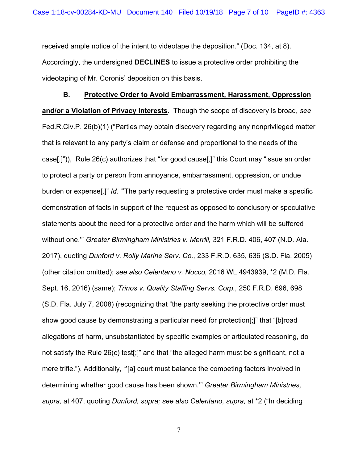received ample notice of the intent to videotape the deposition." (Doc. 134, at 8). Accordingly, the undersigned **DECLINES** to issue a protective order prohibiting the videotaping of Mr. Coronis' deposition on this basis.

**B. Protective Order to Avoid Embarrassment, Harassment, Oppression and/or a Violation of Privacy Interests**. Though the scope of discovery is broad, *see*  Fed.R.Civ.P. 26(b)(1) ("Parties may obtain discovery regarding any nonprivileged matter that is relevant to any party's claim or defense and proportional to the needs of the case[.]")), Rule 26(c) authorizes that "for good cause[,]" this Court may "issue an order to protect a party or person from annoyance, embarrassment, oppression, or undue burden or expense[.]" *Id.* "'The party requesting a protective order must make a specific demonstration of facts in support of the request as opposed to conclusory or speculative statements about the need for a protective order and the harm which will be suffered without one.'" *Greater Birmingham Ministries v. Merrill,* 321 F.R.D. 406, 407 (N.D. Ala. 2017), quoting *Dunford v. Rolly Marine Serv. Co.,* 233 F.R.D. 635, 636 (S.D. Fla. 2005) (other citation omitted); *see also Celentano v. Nocco,* 2016 WL 4943939, \*2 (M.D. Fla. Sept. 16, 2016) (same); *Trinos v. Quality Staffing Servs. Corp.,* 250 F.R.D. 696, 698 (S.D. Fla. July 7, 2008) (recognizing that "the party seeking the protective order must show good cause by demonstrating a particular need for protection[;]" that "[b]road allegations of harm, unsubstantiated by specific examples or articulated reasoning, do not satisfy the Rule 26(c) test[;]" and that "the alleged harm must be significant, not a mere trifle."). Additionally, "'[a] court must balance the competing factors involved in determining whether good cause has been shown.'" *Greater Birmingham Ministries, supra,* at 407, quoting *Dunford, supra; see also Celentano, supra,* at \*2 ("In deciding

7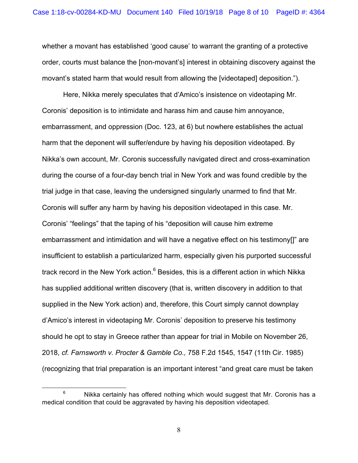whether a movant has established 'good cause' to warrant the granting of a protective order, courts must balance the [non-movant's] interest in obtaining discovery against the movant's stated harm that would result from allowing the [videotaped] deposition.").

Here, Nikka merely speculates that d'Amico's insistence on videotaping Mr. Coronis' deposition is to intimidate and harass him and cause him annoyance, embarrassment, and oppression (Doc. 123, at 6) but nowhere establishes the actual harm that the deponent will suffer/endure by having his deposition videotaped. By Nikka's own account, Mr. Coronis successfully navigated direct and cross-examination during the course of a four-day bench trial in New York and was found credible by the trial judge in that case, leaving the undersigned singularly unarmed to find that Mr. Coronis will suffer any harm by having his deposition videotaped in this case. Mr. Coronis' "feelings" that the taping of his "deposition will cause him extreme embarrassment and intimidation and will have a negative effect on his testimony[]" are insufficient to establish a particularized harm, especially given his purported successful track record in the New York action.<sup>6</sup> Besides, this is a different action in which Nikka has supplied additional written discovery (that is, written discovery in addition to that supplied in the New York action) and, therefore, this Court simply cannot downplay d'Amico's interest in videotaping Mr. Coronis' deposition to preserve his testimony should he opt to stay in Greece rather than appear for trial in Mobile on November 26, 2018, *cf. Farnsworth v. Procter & Gamble Co.,* 758 F.2d 1545, 1547 (11th Cir. 1985) (recognizing that trial preparation is an important interest "and great care must be taken

 $6$  Nikka certainly has offered nothing which would suggest that Mr. Coronis has a medical condition that could be aggravated by having his deposition videotaped.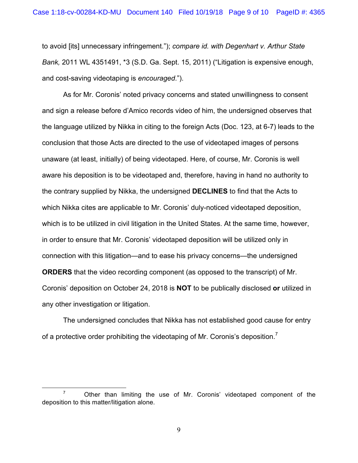to avoid [its] unnecessary infringement."); *compare id. with Degenhart v. Arthur State Bank,* 2011 WL 4351491, \*3 (S.D. Ga. Sept. 15, 2011) ("Litigation is expensive enough, and cost-saving videotaping is *encouraged*.").

As for Mr. Coronis' noted privacy concerns and stated unwillingness to consent and sign a release before d'Amico records video of him, the undersigned observes that the language utilized by Nikka in citing to the foreign Acts (Doc. 123, at 6-7) leads to the conclusion that those Acts are directed to the use of videotaped images of persons unaware (at least, initially) of being videotaped. Here, of course, Mr. Coronis is well aware his deposition is to be videotaped and, therefore, having in hand no authority to the contrary supplied by Nikka, the undersigned **DECLINES** to find that the Acts to which Nikka cites are applicable to Mr. Coronis' duly-noticed videotaped deposition, which is to be utilized in civil litigation in the United States. At the same time, however, in order to ensure that Mr. Coronis' videotaped deposition will be utilized only in connection with this litigation—and to ease his privacy concerns—the undersigned **ORDERS** that the video recording component (as opposed to the transcript) of Mr. Coronis' deposition on October 24, 2018 is **NOT** to be publically disclosed **or** utilized in any other investigation or litigation.

The undersigned concludes that Nikka has not established good cause for entry of a protective order prohibiting the videotaping of Mr. Coronis's deposition.<sup>7</sup>

 $7$  Other than limiting the use of Mr. Coronis' videotaped component of the deposition to this matter/litigation alone.